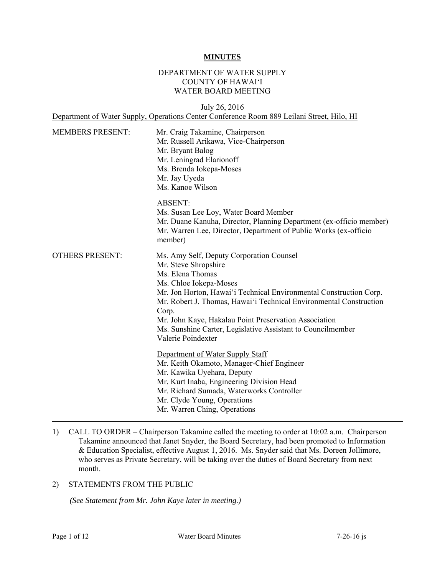#### **MINUTES**

#### DEPARTMENT OF WATER SUPPLY COUNTY OF HAWAI'I WATER BOARD MEETING

July 26, 2016 Department of Water Supply, Operations Center Conference Room 889 Leilani Street, Hilo, HI

| <b>MEMBERS PRESENT:</b> | Mr. Craig Takamine, Chairperson<br>Mr. Russell Arikawa, Vice-Chairperson<br>Mr. Bryant Balog<br>Mr. Leningrad Elarionoff<br>Ms. Brenda Iokepa-Moses<br>Mr. Jay Uyeda<br>Ms. Kanoe Wilson                                                                                                                                                                                                                          |
|-------------------------|-------------------------------------------------------------------------------------------------------------------------------------------------------------------------------------------------------------------------------------------------------------------------------------------------------------------------------------------------------------------------------------------------------------------|
|                         | <b>ABSENT:</b><br>Ms. Susan Lee Loy, Water Board Member<br>Mr. Duane Kanuha, Director, Planning Department (ex-officio member)<br>Mr. Warren Lee, Director, Department of Public Works (ex-officio<br>member)                                                                                                                                                                                                     |
| <b>OTHERS PRESENT:</b>  | Ms. Amy Self, Deputy Corporation Counsel<br>Mr. Steve Shropshire<br>Ms. Elena Thomas<br>Ms. Chloe Iokepa-Moses<br>Mr. Jon Horton, Hawai'i Technical Environmental Construction Corp.<br>Mr. Robert J. Thomas, Hawai'i Technical Environmental Construction<br>Corp.<br>Mr. John Kaye, Hakalau Point Preservation Association<br>Ms. Sunshine Carter, Legislative Assistant to Councilmember<br>Valerie Poindexter |
|                         | Department of Water Supply Staff<br>Mr. Keith Okamoto, Manager-Chief Engineer<br>Mr. Kawika Uyehara, Deputy<br>Mr. Kurt Inaba, Engineering Division Head<br>Mr. Richard Sumada, Waterworks Controller<br>Mr. Clyde Young, Operations<br>Mr. Warren Ching, Operations                                                                                                                                              |

1) CALL TO ORDER – Chairperson Takamine called the meeting to order at 10:02 a.m. Chairperson Takamine announced that Janet Snyder, the Board Secretary, had been promoted to Information & Education Specialist, effective August 1, 2016. Ms. Snyder said that Ms. Doreen Jollimore, who serves as Private Secretary, will be taking over the duties of Board Secretary from next month.

# 2) STATEMENTS FROM THE PUBLIC

*(See Statement from Mr. John Kaye later in meeting.)*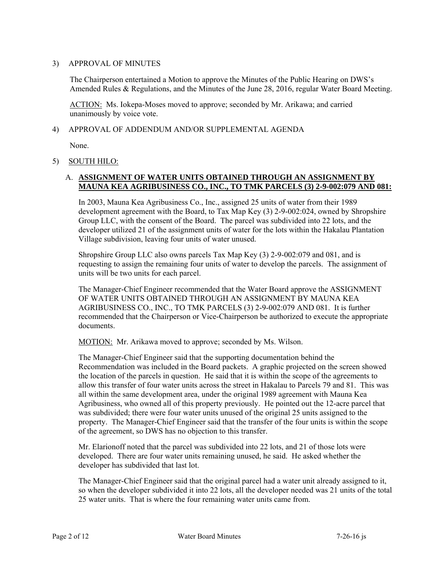### 3) APPROVAL OF MINUTES

The Chairperson entertained a Motion to approve the Minutes of the Public Hearing on DWS's Amended Rules & Regulations, and the Minutes of the June 28, 2016, regular Water Board Meeting.

ACTION: Ms. Iokepa-Moses moved to approve; seconded by Mr. Arikawa; and carried unanimously by voice vote.

### 4) APPROVAL OF ADDENDUM AND/OR SUPPLEMENTAL AGENDA

None.

## 5) SOUTH HILO:

## A. **ASSIGNMENT OF WATER UNITS OBTAINED THROUGH AN ASSIGNMENT BY MAUNA KEA AGRIBUSINESS CO., INC., TO TMK PARCELS (3) 2-9-002:079 AND 081:**

In 2003, Mauna Kea Agribusiness Co., Inc., assigned 25 units of water from their 1989 development agreement with the Board, to Tax Map Key (3) 2-9-002:024, owned by Shropshire Group LLC, with the consent of the Board. The parcel was subdivided into 22 lots, and the developer utilized 21 of the assignment units of water for the lots within the Hakalau Plantation Village subdivision, leaving four units of water unused.

Shropshire Group LLC also owns parcels Tax Map Key (3) 2-9-002:079 and 081, and is requesting to assign the remaining four units of water to develop the parcels. The assignment of units will be two units for each parcel.

The Manager-Chief Engineer recommended that the Water Board approve the ASSIGNMENT OF WATER UNITS OBTAINED THROUGH AN ASSIGNMENT BY MAUNA KEA AGRIBUSINESS CO., INC., TO TMK PARCELS (3) 2-9-002:079 AND 081. It is further recommended that the Chairperson or Vice-Chairperson be authorized to execute the appropriate documents.

MOTION: Mr. Arikawa moved to approve; seconded by Ms. Wilson.

The Manager-Chief Engineer said that the supporting documentation behind the Recommendation was included in the Board packets. A graphic projected on the screen showed the location of the parcels in question. He said that it is within the scope of the agreements to allow this transfer of four water units across the street in Hakalau to Parcels 79 and 81. This was all within the same development area, under the original 1989 agreement with Mauna Kea Agribusiness, who owned all of this property previously. He pointed out the 12-acre parcel that was subdivided; there were four water units unused of the original 25 units assigned to the property. The Manager-Chief Engineer said that the transfer of the four units is within the scope of the agreement, so DWS has no objection to this transfer.

Mr. Elarionoff noted that the parcel was subdivided into 22 lots, and 21 of those lots were developed. There are four water units remaining unused, he said. He asked whether the developer has subdivided that last lot.

 25 water units. That is where the four remaining water units came from. The Manager-Chief Engineer said that the original parcel had a water unit already assigned to it, so when the developer subdivided it into 22 lots, all the developer needed was 21 units of the total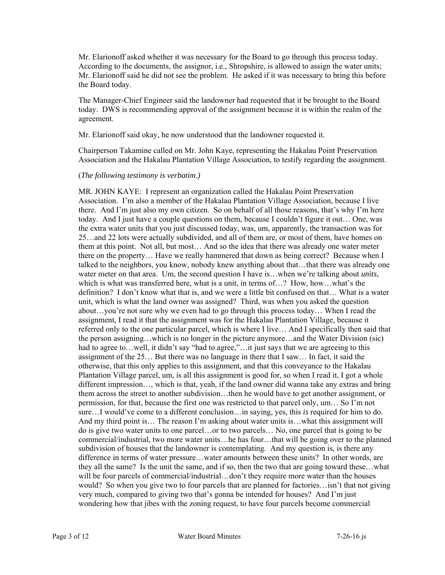Mr. Elarionoff asked whether it was necessary for the Board to go through this process today. According to the documents, the assignor, i.e., Shropshire, is allowed to assign the water units; Mr. Elarionoff said he did not see the problem. He asked if it was necessary to bring this before the Board today.

The Manager-Chief Engineer said the landowner had requested that it be brought to the Board today. DWS is recommending approval of the assignment because it is within the realm of the agreement.

Mr. Elarionoff said okay, he now understood that the landowner requested it.

Chairperson Takamine called on Mr. John Kaye, representing the Hakalau Point Preservation Association and the Hakalau Plantation Village Association, to testify regarding the assignment.

### (*The following testimony is verbatim.)*

 there on the property… Have we really hammered that down as being correct? Because when I MR. JOHN KAYE: I represent an organization called the Hakalau Point Preservation Association. I'm also a member of the Hakalau Plantation Village Association, because I live there. And I'm just also my own citizen. So on behalf of all those reasons, that's why I'm here today. And I just have a couple questions on them, because I couldn't figure it out… One, was the extra water units that you just discussed today, was, um, apparently, the transaction was for 25…and 22 lots were actually subdivided, and all of them are, or most of them, have homes on them at this point. Not all, but most… And so the idea that there was already one water meter talked to the neighbors, you know, nobody knew anything about that…that there was already one water meter on that area. Um, the second question I have is...when we're talking about *units*, which is what was transferred here, what is a unit, in terms of…? How, how…what's the definition? I don't know what that is, and we were a little bit confused on that… What is a water unit, which is what the land owner was assigned? Third, was when you asked the question about…you're not sure why we even had to go through this process today… When I read the assignment, I read it that the assignment was for the Hakalau Plantation Village, because it referred only to the one particular parcel, which is where I live… And I specifically then said that the person assigning…which is no longer in the picture anymore…and the Water Division (sic) had to agree to...well, it didn't say "had to agree,"...it just says that we are agreeing to this assignment of the 25… But there was no language in there that I saw… In fact, it said the otherwise, that this only applies to this assignment, and that this conveyance to the Hakalau Plantation Village parcel, um, is all this assignment is good for, so when I read it, I got a whole different impression…, which is that, yeah, if the land owner did wanna take any extras and bring them across the street to another subdivision…then he would have to get another assignment, or permission, for that, because the first one was restricted to that parcel only, um… So I'm not sure…I would've come to a different conclusion…in saying, yes, this *is* required for him to do. And my third point is… The reason I'm asking about water units is…what this assignment will do is give two water units to one parcel…or to two parcels… No, one parcel that is going to be commercial/industrial, two more water units…he has four…that will be going over to the planned subdivision of houses that the landowner is contemplating. And my question is, is there any difference in terms of water pressure…water amounts between these units? In other words, are they all the same? Is the unit the same, and if so, then the two that are going toward these…what will be four parcels of commercial/industrial...don't they require more water than the houses would? So when you give two to four parcels that are planned for factories…isn't that not giving very much, compared to giving two that's gonna be intended for houses? And I'm just wondering how that jibes with the zoning request, to have four parcels become commercial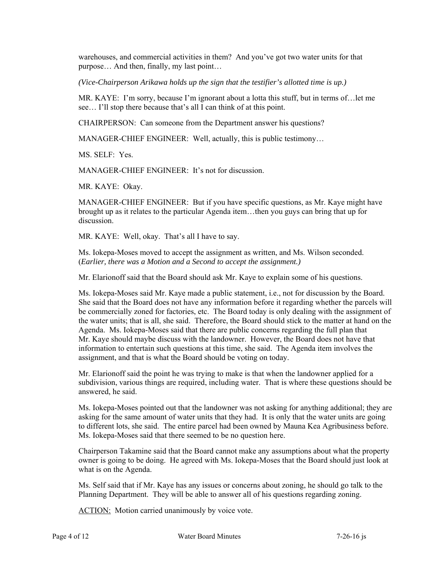warehouses, and commercial activities in them? And you've got two water units for that purpose… And then, finally, my last point…

*(Vice-Chairperson Arikawa holds up the sign that the testifier's allotted time is up.)* 

MR. KAYE: I'm sorry, because I'm ignorant about a lotta this stuff, but in terms of…let me see… I'll stop there because that's all I can think of at this point.

CHAIRPERSON: Can someone from the Department answer his questions?

MANAGER-CHIEF ENGINEER: Well, actually, this is public testimony…

MS. SELF: Yes.

MANAGER-CHIEF ENGINEER: It's not for discussion.

MR. KAYE: Okay.

MANAGER-CHIEF ENGINEER: But if you have specific questions, as Mr. Kaye might have brought up as it relates to the particular Agenda item…then you guys can bring that up for discussion.

MR. KAYE: Well, okay. That's all I have to say.

Ms. Iokepa-Moses moved to accept the assignment as written, and Ms. Wilson seconded. (*Earlier, there was a Motion and a Second to accept the assignment.)* 

Mr. Elarionoff said that the Board should ask Mr. Kaye to explain some of his questions.

Ms. Iokepa-Moses said Mr. Kaye made a public statement, i.e., not for discussion by the Board. She said that the Board does not have any information before it regarding whether the parcels will be commercially zoned for factories, etc. The Board today is only dealing with the assignment of the water units; that is all, she said. Therefore, the Board should stick to the matter at hand on the Agenda. Ms. Iokepa-Moses said that there are public concerns regarding the full plan that Mr. Kaye should maybe discuss with the landowner. However, the Board does not have that information to entertain such questions at this time, she said. The Agenda item involves the assignment, and that is what the Board should be voting on today.

Mr. Elarionoff said the point he was trying to make is that when the landowner applied for a subdivision, various things are required, including water. That is where these questions should be answered, he said.

Ms. Iokepa-Moses pointed out that the landowner was not asking for anything additional; they are asking for the same amount of water units that they had. It is only that the water units are going to different lots, she said. The entire parcel had been owned by Mauna Kea Agribusiness before. Ms. Iokepa-Moses said that there seemed to be no question here.

Chairperson Takamine said that the Board cannot make any assumptions about what the property owner is going to be doing. He agreed with Ms. Iokepa-Moses that the Board should just look at what is on the Agenda.

Ms. Self said that if Mr. Kaye has any issues or concerns about zoning, he should go talk to the Planning Department. They will be able to answer all of his questions regarding zoning.

**ACTION:** Motion carried unanimously by voice vote.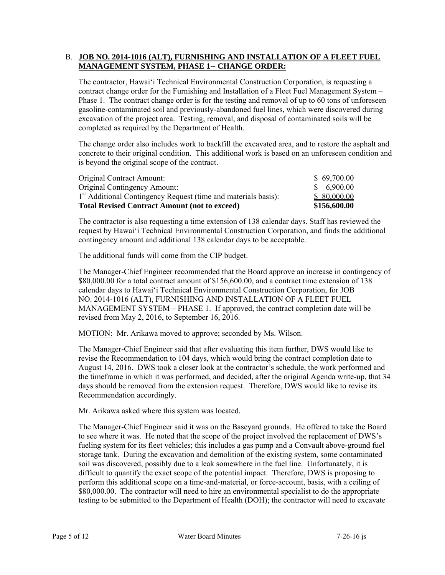### B. JOB NO. 2014-1016 (ALT), FURNISHING AND INSTALLATION OF A FLEET FUEL **MANAGEMENT SYSTEM, PHASE 1-- CHANGE ORDER:**

The contractor, Hawai'i Technical Environmental Construction Corporation, is requesting a contract change order for the Furnishing and Installation of a Fleet Fuel Management System – Phase 1. The contract change order is for the testing and removal of up to 60 tons of unforeseen gasoline-contaminated soil and previously-abandoned fuel lines, which were discovered during excavation of the project area. Testing, removal, and disposal of contaminated soils will be completed as required by the Department of Health.

The change order also includes work to backfill the excavated area, and to restore the asphalt and concrete to their original condition. This additional work is based on an unforeseen condition and is beyond the original scope of the contract.

| <b>Total Revised Contract Amount (not to exceed)</b>                       | \$156,600.00 |
|----------------------------------------------------------------------------|--------------|
| 1 <sup>st</sup> Additional Contingency Request (time and materials basis): | \$80,000.00  |
| <b>Original Contingency Amount:</b>                                        | \$6,900.00   |
| Original Contract Amount:                                                  | \$69,700.00  |

The contractor is also requesting a time extension of 138 calendar days. Staff has reviewed the request by Hawai'i Technical Environmental Construction Corporation, and finds the additional contingency amount and additional 138 calendar days to be acceptable.

The additional funds will come from the CIP budget.

The Manager-Chief Engineer recommended that the Board approve an increase in contingency of \$80,000.00 for a total contract amount of \$156,600.00, and a contract time extension of 138 calendar days to Hawai'i Technical Environmental Construction Corporation, for JOB NO. 2014-1016 (ALT), FURNISHING AND INSTALLATION OF A FLEET FUEL MANAGEMENT SYSTEM – PHASE 1. If approved, the contract completion date will be revised from May 2, 2016, to September 16, 2016.

MOTION: Mr. Arikawa moved to approve; seconded by Ms. Wilson.

The Manager-Chief Engineer said that after evaluating this item further, DWS would like to revise the Recommendation to 104 days, which would bring the contract completion date to August 14, 2016. DWS took a closer look at the contractor's schedule, the work performed and the timeframe in which it was performed, and decided, after the original Agenda write-up, that 34 days should be removed from the extension request. Therefore, DWS would like to revise its Recommendation accordingly.

Mr. Arikawa asked where this system was located.

The Manager-Chief Engineer said it was on the Baseyard grounds. He offered to take the Board to see where it was. He noted that the scope of the project involved the replacement of DWS's fueling system for its fleet vehicles; this includes a gas pump and a Convault above-ground fuel storage tank. During the excavation and demolition of the existing system, some contaminated soil was discovered, possibly due to a leak somewhere in the fuel line. Unfortunately, it is difficult to quantify the exact scope of the potential impact. Therefore, DWS is proposing to perform this additional scope on a time-and-material, or force-account, basis, with a ceiling of \$80,000.00. The contractor will need to hire an environmental specialist to do the appropriate testing to be submitted to the Department of Health (DOH); the contractor will need to excavate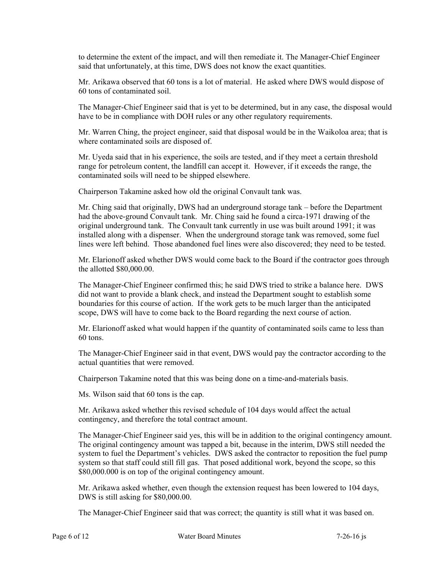to determine the extent of the impact, and will then remediate it. The Manager-Chief Engineer said that unfortunately, at this time, DWS does not know the exact quantities.

Mr. Arikawa observed that 60 tons is a lot of material. He asked where DWS would dispose of 60 tons of contaminated soil.

The Manager-Chief Engineer said that is yet to be determined, but in any case, the disposal would have to be in compliance with DOH rules or any other regulatory requirements.

Mr. Warren Ching, the project engineer, said that disposal would be in the Waikoloa area; that is where contaminated soils are disposed of.

Mr. Uyeda said that in his experience, the soils are tested, and if they meet a certain threshold range for petroleum content, the landfill can accept it. However, if it exceeds the range, the contaminated soils will need to be shipped elsewhere.

Chairperson Takamine asked how old the original Convault tank was.

Mr. Ching said that originally, DWS had an underground storage tank – before the Department had the above-ground Convault tank. Mr. Ching said he found a circa-1971 drawing of the original underground tank. The Convault tank currently in use was built around 1991; it was installed along with a dispenser. When the underground storage tank was removed, some fuel lines were left behind. Those abandoned fuel lines were also discovered; they need to be tested.

Mr. Elarionoff asked whether DWS would come back to the Board if the contractor goes through the allotted \$80,000.00.

The Manager-Chief Engineer confirmed this; he said DWS tried to strike a balance here. DWS did not want to provide a blank check, and instead the Department sought to establish some boundaries for this course of action. If the work gets to be much larger than the anticipated scope, DWS will have to come back to the Board regarding the next course of action.

Mr. Elarionoff asked what would happen if the quantity of contaminated soils came to less than 60 tons.

The Manager-Chief Engineer said in that event, DWS would pay the contractor according to the actual quantities that were removed.

Chairperson Takamine noted that this was being done on a time-and-materials basis.

Ms. Wilson said that 60 tons is the cap.

Mr. Arikawa asked whether this revised schedule of 104 days would affect the actual contingency, and therefore the total contract amount.

The Manager-Chief Engineer said yes, this will be in addition to the original contingency amount. The original contingency amount was tapped a bit, because in the interim, DWS still needed the system to fuel the Department's vehicles. DWS asked the contractor to reposition the fuel pump system so that staff could still fill gas. That posed additional work, beyond the scope, so this \$80,000.000 is on top of the original contingency amount.

Mr. Arikawa asked whether, even though the extension request has been lowered to 104 days, DWS is still asking for \$80,000.00.

The Manager-Chief Engineer said that was correct; the quantity is still what it was based on.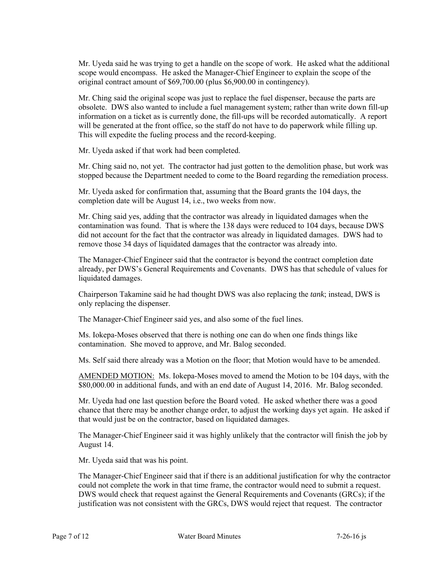Mr. Uyeda said he was trying to get a handle on the scope of work. He asked what the additional scope would encompass. He asked the Manager-Chief Engineer to explain the scope of the original contract amount of \$69,700.00 (plus \$6,900.00 in contingency).

Mr. Ching said the original scope was just to replace the fuel dispenser, because the parts are obsolete. DWS also wanted to include a fuel management system; rather than write down fill-up information on a ticket as is currently done, the fill-ups will be recorded automatically. A report will be generated at the front office, so the staff do not have to do paperwork while filling up. This will expedite the fueling process and the record-keeping.

Mr. Uyeda asked if that work had been completed.

Mr. Ching said no, not yet. The contractor had just gotten to the demolition phase, but work was stopped because the Department needed to come to the Board regarding the remediation process.

Mr. Uyeda asked for confirmation that, assuming that the Board grants the 104 days, the completion date will be August 14, i.e., two weeks from now.

Mr. Ching said yes, adding that the contractor was already in liquidated damages when the contamination was found. That is where the 138 days were reduced to 104 days, because DWS did not account for the fact that the contractor was already in liquidated damages. DWS had to remove those 34 days of liquidated damages that the contractor was already into.

The Manager-Chief Engineer said that the contractor is beyond the contract completion date already, per DWS's General Requirements and Covenants. DWS has that schedule of values for liquidated damages.

Chairperson Takamine said he had thought DWS was also replacing the *tank*; instead, DWS is only replacing the dispenser.

The Manager-Chief Engineer said yes, and also some of the fuel lines.

Ms. Iokepa-Moses observed that there is nothing one can do when one finds things like contamination. She moved to approve, and Mr. Balog seconded.

Ms. Self said there already was a Motion on the floor; that Motion would have to be amended.

AMENDED MOTION: Ms. Iokepa-Moses moved to amend the Motion to be 104 days, with the \$80,000.00 in additional funds, and with an end date of August 14, 2016. Mr. Balog seconded.

Mr. Uyeda had one last question before the Board voted. He asked whether there was a good chance that there may be another change order, to adjust the working days yet again. He asked if that would just be on the contractor, based on liquidated damages.

The Manager-Chief Engineer said it was highly unlikely that the contractor will finish the job by August 14.

Mr. Uyeda said that was his point.

The Manager-Chief Engineer said that if there is an additional justification for why the contractor could not complete the work in that time frame, the contractor would need to submit a request. DWS would check that request against the General Requirements and Covenants (GRCs); if the justification was not consistent with the GRCs, DWS would reject that request. The contractor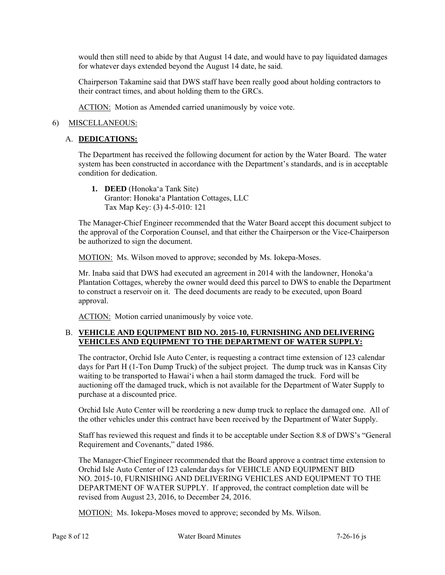would then still need to abide by that August 14 date, and would have to pay liquidated damages for whatever days extended beyond the August 14 date, he said.

Chairperson Takamine said that DWS staff have been really good about holding contractors to their contract times, and about holding them to the GRCs.

ACTION: Motion as Amended carried unanimously by voice vote.

### 6) MISCELLANEOUS:

### A. **DEDICATIONS:**

The Department has received the following document for action by the Water Board. The water system has been constructed in accordance with the Department's standards, and is in acceptable condition for dedication.

**1. DEED** (Honoka'a Tank Site) Grantor: Honoka'a Plantation Cottages, LLC Tax Map Key: (3) 4-5-010: 121

The Manager-Chief Engineer recommended that the Water Board accept this document subject to the approval of the Corporation Counsel, and that either the Chairperson or the Vice-Chairperson be authorized to sign the document.

MOTION: Ms. Wilson moved to approve; seconded by Ms. Iokepa-Moses.

Mr. Inaba said that DWS had executed an agreement in 2014 with the landowner, Honoka'a Plantation Cottages, whereby the owner would deed this parcel to DWS to enable the Department to construct a reservoir on it. The deed documents are ready to be executed, upon Board approval.

ACTION: Motion carried unanimously by voice vote.

### B. **VEHICLE AND EQUIPMENT BID NO. 2015-10, FURNISHING AND DELIVERING VEHICLES AND EQUIPMENT TO THE DEPARTMENT OF WATER SUPPLY:**

The contractor, Orchid Isle Auto Center, is requesting a contract time extension of 123 calendar days for Part H (1-Ton Dump Truck) of the subject project. The dump truck was in Kansas City waiting to be transported to Hawai'i when a hail storm damaged the truck. Ford will be auctioning off the damaged truck, which is not available for the Department of Water Supply to purchase at a discounted price.

Orchid Isle Auto Center will be reordering a new dump truck to replace the damaged one. All of the other vehicles under this contract have been received by the Department of Water Supply.

Staff has reviewed this request and finds it to be acceptable under Section 8.8 of DWS's "General Requirement and Covenants," dated 1986.

The Manager-Chief Engineer recommended that the Board approve a contract time extension to Orchid Isle Auto Center of 123 calendar days for VEHICLE AND EQUIPMENT BID NO. 2015-10, FURNISHING AND DELIVERING VEHICLES AND EQUIPMENT TO THE DEPARTMENT OF WATER SUPPLY. If approved, the contract completion date will be revised from August 23, 2016, to December 24, 2016.

MOTION: Ms. Iokepa-Moses moved to approve; seconded by Ms. Wilson.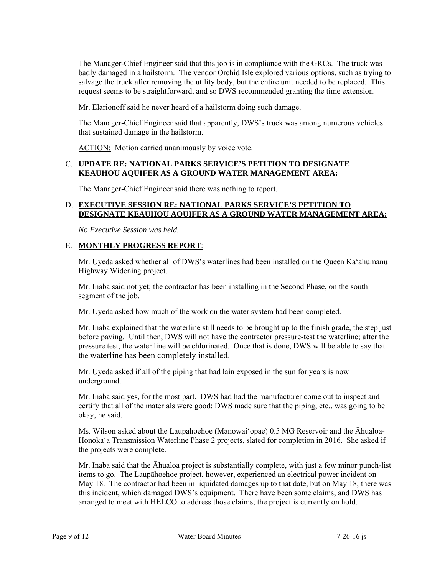The Manager-Chief Engineer said that this job is in compliance with the GRCs. The truck was badly damaged in a hailstorm. The vendor Orchid Isle explored various options, such as trying to salvage the truck after removing the utility body, but the entire unit needed to be replaced. This request seems to be straightforward, and so DWS recommended granting the time extension.

Mr. Elarionoff said he never heard of a hailstorm doing such damage.

The Manager-Chief Engineer said that apparently, DWS's truck was among numerous vehicles that sustained damage in the hailstorm.

ACTION: Motion carried unanimously by voice vote.

# C. **UPDATE RE: NATIONAL PARKS SERVICE'S PETITION TO DESIGNATE KEAUHOU AQUIFER AS A GROUND WATER MANAGEMENT AREA:**

The Manager-Chief Engineer said there was nothing to report.

# D. **EXECUTIVE SESSION RE: NATIONAL PARKS SERVICE'S PETITION TO DESIGNATE KEAUHOU AQUIFER AS A GROUND WATER MANAGEMENT AREA:**

*No Executive Session was held.* 

# E. **MONTHLY PROGRESS REPORT**:

Mr. Uyeda asked whether all of DWS's waterlines had been installed on the Queen Ka'ahumanu Highway Widening project.

Mr. Inaba said not yet; the contractor has been installing in the Second Phase, on the south segment of the job.

Mr. Uyeda asked how much of the work on the water system had been completed.

Mr. Inaba explained that the waterline still needs to be brought up to the finish grade, the step just before paving. Until then, DWS will not have the contractor pressure-test the waterline; after the pressure test, the water line will be chlorinated. Once that is done, DWS will be able to say that the waterline has been completely installed.

Mr. Uyeda asked if all of the piping that had lain exposed in the sun for years is now underground.

Mr. Inaba said yes, for the most part. DWS had had the manufacturer come out to inspect and certify that all of the materials were good; DWS made sure that the piping, etc., was going to be okay, he said.

Ms. Wilson asked about the Laupāhoehoe (Manowai'ōpae) 0.5 MG Reservoir and the Āhualoa-Honoka'a Transmission Waterline Phase 2 projects, slated for completion in 2016. She asked if the projects were complete.

Mr. Inaba said that the Āhualoa project is substantially complete, with just a few minor punch-list items to go. The Laupāhoehoe project, however, experienced an electrical power incident on May 18. The contractor had been in liquidated damages up to that date, but on May 18, there was this incident, which damaged DWS's equipment. There have been some claims, and DWS has arranged to meet with HELCO to address those claims; the project is currently on hold.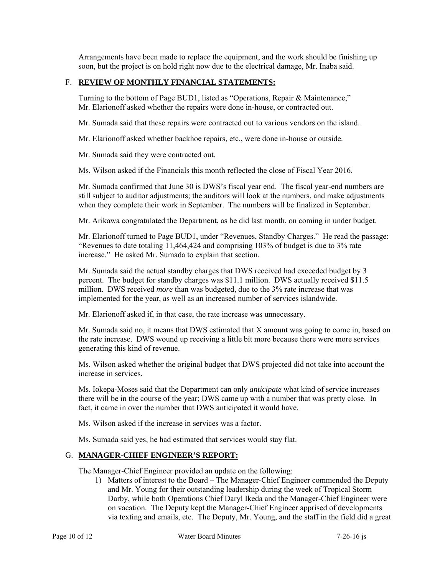Arrangements have been made to replace the equipment, and the work should be finishing up soon, but the project is on hold right now due to the electrical damage, Mr. Inaba said.

### F. **REVIEW OF MONTHLY FINANCIAL STATEMENTS:**

Turning to the bottom of Page BUD1, listed as "Operations, Repair & Maintenance," Mr. Elarionoff asked whether the repairs were done in-house, or contracted out.

Mr. Sumada said that these repairs were contracted out to various vendors on the island.

Mr. Elarionoff asked whether backhoe repairs, etc., were done in-house or outside.

Mr. Sumada said they were contracted out.

Ms. Wilson asked if the Financials this month reflected the close of Fiscal Year 2016.

Mr. Sumada confirmed that June 30 is DWS's fiscal year end. The fiscal year-end numbers are still subject to auditor adjustments; the auditors will look at the numbers, and make adjustments when they complete their work in September. The numbers will be finalized in September.

Mr. Arikawa congratulated the Department, as he did last month, on coming in under budget.

Mr. Elarionoff turned to Page BUD1, under "Revenues, Standby Charges." He read the passage: "Revenues to date totaling 11,464,424 and comprising 103% of budget is due to 3% rate increase." He asked Mr. Sumada to explain that section.

Mr. Sumada said the actual standby charges that DWS received had exceeded budget by 3 percent. The budget for standby charges was \$11.1 million. DWS actually received \$11.5 million. DWS received *more* than was budgeted, due to the 3% rate increase that was implemented for the year, as well as an increased number of services islandwide.

Mr. Elarionoff asked if, in that case, the rate increase was unnecessary.

Mr. Sumada said no, it means that DWS estimated that X amount was going to come in, based on the rate increase. DWS wound up receiving a little bit more because there were more services generating this kind of revenue.

Ms. Wilson asked whether the original budget that DWS projected did not take into account the increase in services.

Ms. Iokepa-Moses said that the Department can only *anticipate* what kind of service increases there will be in the course of the year; DWS came up with a number that was pretty close. In fact, it came in over the number that DWS anticipated it would have.

Ms. Wilson asked if the increase in services was a factor.

Ms. Sumada said yes, he had estimated that services would stay flat.

### G. **MANAGER-CHIEF ENGINEER'S REPORT:**

The Manager-Chief Engineer provided an update on the following:

1) Matters of interest to the Board – The Manager-Chief Engineer commended the Deputy and Mr. Young for their outstanding leadership during the week of Tropical Storm Darby, while both Operations Chief Daryl Ikeda and the Manager-Chief Engineer were on vacation. The Deputy kept the Manager-Chief Engineer apprised of developments via texting and emails, etc. The Deputy, Mr. Young, and the staff in the field did a great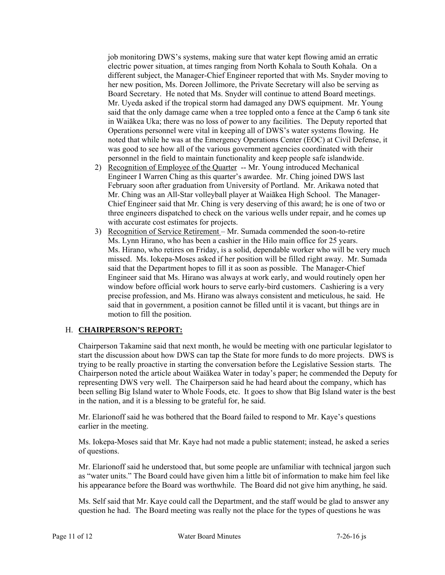job monitoring DWS's systems, making sure that water kept flowing amid an erratic electric power situation, at times ranging from North Kohala to South Kohala. On a different subject, the Manager-Chief Engineer reported that with Ms. Snyder moving to her new position, Ms. Doreen Jollimore, the Private Secretary will also be serving as Board Secretary. He noted that Ms. Snyder will continue to attend Board meetings. Mr. Uyeda asked if the tropical storm had damaged any DWS equipment. Mr. Young said that the only damage came when a tree toppled onto a fence at the Camp 6 tank site in Waiākea Uka; there was no loss of power to any facilities. The Deputy reported that Operations personnel were vital in keeping all of DWS's water systems flowing. He noted that while he was at the Emergency Operations Center (EOC) at Civil Defense, it was good to see how all of the various government agencies coordinated with their personnel in the field to maintain functionality and keep people safe islandwide.

- 2) Recognition of Employee of the Quarter -- Mr. Young introduced Mechanical Engineer I Warren Ching as this quarter's awardee. Mr. Ching joined DWS last February soon after graduation from University of Portland. Mr. Arikawa noted that Mr. Ching was an All-Star volleyball player at Waiākea High School. The Manager-Chief Engineer said that Mr. Ching is very deserving of this award; he is one of two or three engineers dispatched to check on the various wells under repair, and he comes up with accurate cost estimates for projects.
- 3) Recognition of Service Retirement Mr. Sumada commended the soon-to-retire Ms. Lynn Hirano, who has been a cashier in the Hilo main office for 25 years. Ms. Hirano, who retires on Friday, is a solid, dependable worker who will be very much missed. Ms. Iokepa-Moses asked if her position will be filled right away. Mr. Sumada said that the Department hopes to fill it as soon as possible. The Manager-Chief Engineer said that Ms. Hirano was always at work early, and would routinely open her window before official work hours to serve early-bird customers. Cashiering is a very precise profession, and Ms. Hirano was always consistent and meticulous, he said. He said that in government, a position cannot be filled until it is vacant, but things are in motion to fill the position.

# H. **CHAIRPERSON'S REPORT:**

Chairperson Takamine said that next month, he would be meeting with one particular legislator to start the discussion about how DWS can tap the State for more funds to do more projects. DWS is trying to be really proactive in starting the conversation before the Legislative Session starts. The Chairperson noted the article about Waiākea Water in today's paper; he commended the Deputy for representing DWS very well. The Chairperson said he had heard about the company, which has been selling Big Island water to Whole Foods, etc. It goes to show that Big Island water is the best in the nation, and it is a blessing to be grateful for, he said.

Mr. Elarionoff said he was bothered that the Board failed to respond to Mr. Kaye's questions earlier in the meeting.

Ms. Iokepa-Moses said that Mr. Kaye had not made a public statement; instead, he asked a series of questions.

Mr. Elarionoff said he understood that, but some people are unfamiliar with technical jargon such as "water units." The Board could have given him a little bit of information to make him feel like his appearance before the Board was worthwhile. The Board did not give him anything, he said.

Ms. Self said that Mr. Kaye could call the Department, and the staff would be glad to answer any question he had. The Board meeting was really not the place for the types of questions he was